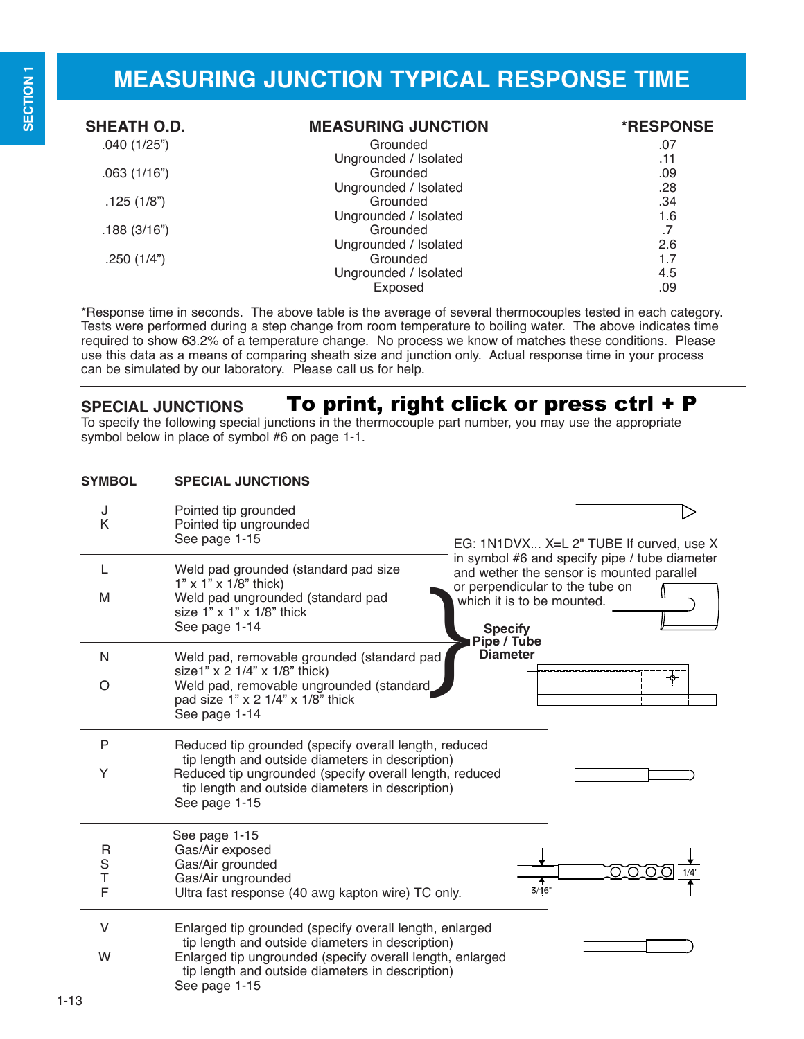## **SPECIAL JUNCTIONS** To print, right click or press ctrl + P

To specify the following special junctions in the thermocouple part number, you may use the appropriate symbol below in place of symbol #6 on page 1-1.

| <b>SYMBOL</b>    | <b>SPECIAL JUNCTIONS</b>                                                                                                                                                                                                                      |                                                                                                                                                             |
|------------------|-----------------------------------------------------------------------------------------------------------------------------------------------------------------------------------------------------------------------------------------------|-------------------------------------------------------------------------------------------------------------------------------------------------------------|
| J<br>K           | Pointed tip grounded<br>Pointed tip ungrounded<br>See page 1-15                                                                                                                                                                               | EG: 1N1DVX X=L 2" TUBE If curved, use X                                                                                                                     |
| L<br>M           | Weld pad grounded (standard pad size<br>$1"$ x $1"$ x $1/8"$ thick)<br>Weld pad ungrounded (standard pad                                                                                                                                      | in symbol #6 and specify pipe / tube diameter<br>and wether the sensor is mounted parallel<br>or perpendicular to the tube on<br>which it is to be mounted. |
|                  | size $1" \times 1" \times 1/8"$ thick<br>See page 1-14                                                                                                                                                                                        | <b>Specify</b><br>Pipe / Tube                                                                                                                               |
| N                | Weld pad, removable grounded (standard pad<br>size1" x 2 1/4" x 1/8" thick)                                                                                                                                                                   | <b>Diameter</b>                                                                                                                                             |
| O                | Weld pad, removable ungrounded (standard<br>pad size 1" x 2 1/4" x 1/8" thick<br>See page 1-14                                                                                                                                                | ᡐ                                                                                                                                                           |
| P<br>Y           | Reduced tip grounded (specify overall length, reduced<br>tip length and outside diameters in description)<br>Reduced tip ungrounded (specify overall length, reduced<br>tip length and outside diameters in description)<br>See page 1-15     |                                                                                                                                                             |
| R<br>S<br>Т<br>F | See page 1-15<br>Gas/Air exposed<br>Gas/Air grounded<br>Gas/Air ungrounded<br>Ultra fast response (40 awg kapton wire) TC only.                                                                                                               | റെ<br>3/16"                                                                                                                                                 |
| $\vee$<br>W      | Enlarged tip grounded (specify overall length, enlarged<br>tip length and outside diameters in description)<br>Enlarged tip ungrounded (specify overall length, enlarged<br>tip length and outside diameters in description)<br>See page 1-15 |                                                                                                                                                             |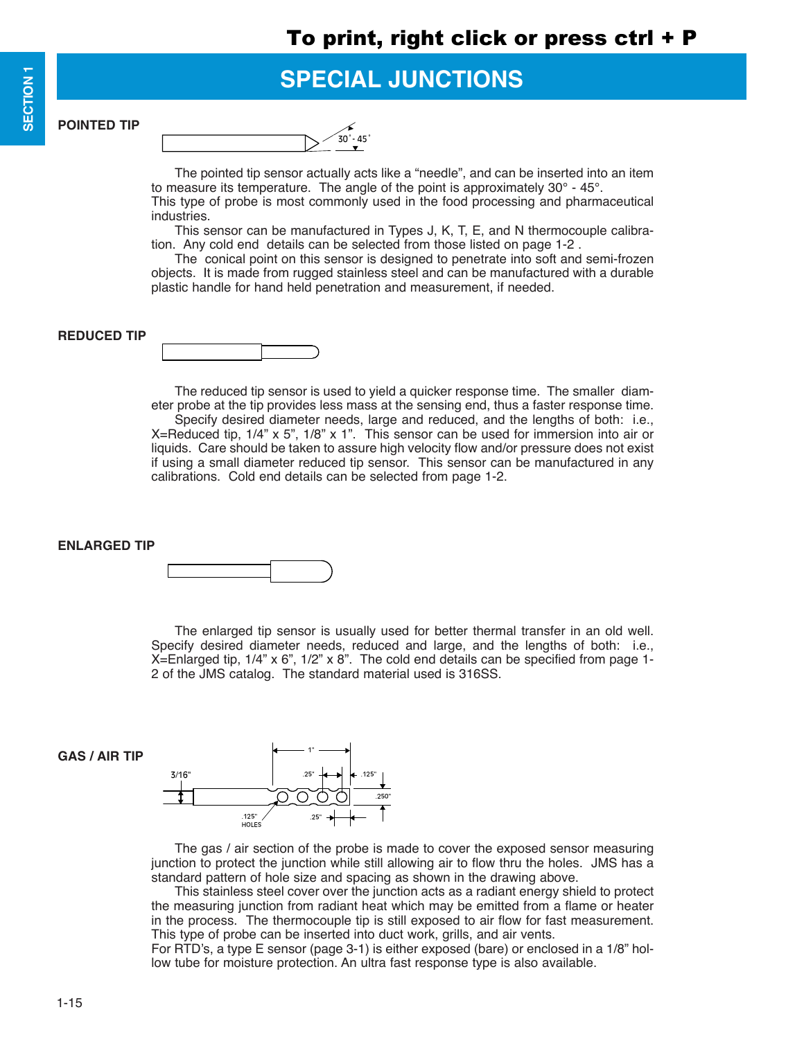**SPECIAL JUNCTIONS**

**POINTED TIP**

| - ْ∩<br>5 |
|-----------|

The pointed tip sensor actually acts like a "needle", and can be inserted into an item to measure its temperature. The angle of the point is approximately 30° - 45°. This type of probe is most commonly used in the food processing and pharmaceutical industries.

This sensor can be manufactured in Types J, K, T, E, and N thermocouple calibration. Any cold end details can be selected from those listed on page 1-2 .

The conical point on this sensor is designed to penetrate into soft and semi-frozen objects. It is made from rugged stainless steel and can be manufactured with a durable plastic handle for hand held penetration and measurement, if needed.

## **REDUCED TIP**

The reduced tip sensor is used to yield a quicker response time. The smaller diameter probe at the tip provides less mass at the sensing end, thus a faster response time. Specify desired diameter needs, large and reduced, and the lengths of both: i.e., X=Reduced tip,  $1/4$ " x 5",  $1/8$ " x 1". This sensor can be used for immersion into air or liquids. Care should be taken to assure high velocity flow and/or pressure does not exist if using a small diameter reduced tip sensor. This sensor can be manufactured in any calibrations. Cold end details can be selected from page 1-2.

**ENLARGED TIP**



The enlarged tip sensor is usually used for better thermal transfer in an old well. Specify desired diameter needs, reduced and large, and the lengths of both: i.e.,  $X=$ Enlarged tip,  $1/4$ " x 6",  $1/2$ " x 8". The cold end details can be specified from page 1-2 of the JMS catalog. The standard material used is 316SS.

## **GAS / AIR TIP**



The gas / air section of the probe is made to cover the exposed sensor measuring junction to protect the junction while still allowing air to flow thru the holes. JMS has a standard pattern of hole size and spacing as shown in the drawing above.

This stainless steel cover over the junction acts as a radiant energy shield to protect the measuring junction from radiant heat which may be emitted from a flame or heater in the process. The thermocouple tip is still exposed to air flow for fast measurement. This type of probe can be inserted into duct work, grills, and air vents.

For RTD's, a type E sensor (page 3-1) is either exposed (bare) or enclosed in a 1/8" hollow tube for moisture protection. An ultra fast response type is also available.